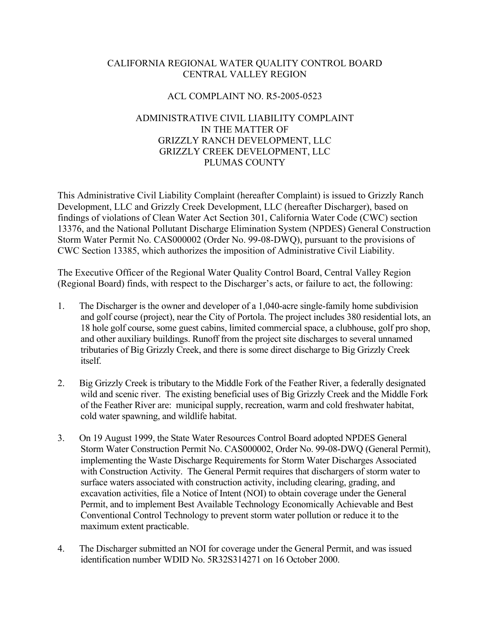# CALIFORNIA REGIONAL WATER QUALITY CONTROL BOARD CENTRAL VALLEY REGION

## ACL COMPLAINT NO. R5-2005-0523

# ADMINISTRATIVE CIVIL LIABILITY COMPLAINT IN THE MATTER OF GRIZZLY RANCH DEVELOPMENT, LLC GRIZZLY CREEK DEVELOPMENT, LLC PLUMAS COUNTY

This Administrative Civil Liability Complaint (hereafter Complaint) is issued to Grizzly Ranch Development, LLC and Grizzly Creek Development, LLC (hereafter Discharger), based on findings of violations of Clean Water Act Section 301, California Water Code (CWC) section 13376, and the National Pollutant Discharge Elimination System (NPDES) General Construction Storm Water Permit No. CAS000002 (Order No. 99-08-DWQ), pursuant to the provisions of CWC Section 13385, which authorizes the imposition of Administrative Civil Liability.

The Executive Officer of the Regional Water Quality Control Board, Central Valley Region (Regional Board) finds, with respect to the Discharger's acts, or failure to act, the following:

- 1. The Discharger is the owner and developer of a 1,040-acre single-family home subdivision and golf course (project), near the City of Portola. The project includes 380 residential lots, an 18 hole golf course, some guest cabins, limited commercial space, a clubhouse, golf pro shop, and other auxiliary buildings. Runoff from the project site discharges to several unnamed tributaries of Big Grizzly Creek, and there is some direct discharge to Big Grizzly Creek itself.
- 2. Big Grizzly Creek is tributary to the Middle Fork of the Feather River, a federally designated wild and scenic river. The existing beneficial uses of Big Grizzly Creek and the Middle Fork of the Feather River are: municipal supply, recreation, warm and cold freshwater habitat, cold water spawning, and wildlife habitat.
- 3. On 19 August 1999, the State Water Resources Control Board adopted NPDES General Storm Water Construction Permit No. CAS000002, Order No. 99-08-DWQ (General Permit), implementing the Waste Discharge Requirements for Storm Water Discharges Associated with Construction Activity. The General Permit requires that dischargers of storm water to surface waters associated with construction activity, including clearing, grading, and excavation activities, file a Notice of Intent (NOI) to obtain coverage under the General Permit, and to implement Best Available Technology Economically Achievable and Best Conventional Control Technology to prevent storm water pollution or reduce it to the maximum extent practicable.
- 4. The Discharger submitted an NOI for coverage under the General Permit, and was issued identification number WDID No. 5R32S314271 on 16 October 2000.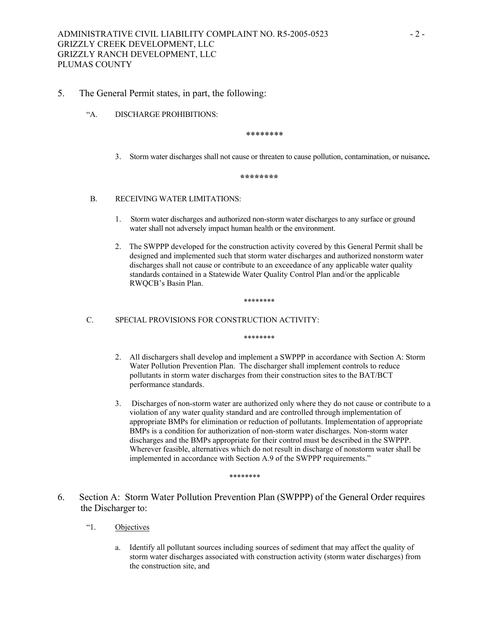## 5. The General Permit states, in part, the following:

"A. DISCHARGE PROHIBITIONS:

\*\*\*\*\*\*\*\*

3. Storm water discharges shall not cause or threaten to cause pollution, contamination, or nuisance**.**

**\*\*\*\*\*\*\*\*** 

## B. RECEIVING WATER LIMITATIONS:

- 1. Storm water discharges and authorized non-storm water discharges to any surface or ground water shall not adversely impact human health or the environment.
- 2. The SWPPP developed for the construction activity covered by this General Permit shall be designed and implemented such that storm water discharges and authorized nonstorm water discharges shall not cause or contribute to an exceedance of any applicable water quality standards contained in a Statewide Water Quality Control Plan and/or the applicable RWQCB's Basin Plan.

\*\*\*\*\*\*\*\*

#### C. SPECIAL PROVISIONS FOR CONSTRUCTION ACTIVITY:

\*\*\*\*\*\*\*\*

- 2. All dischargers shall develop and implement a SWPPP in accordance with Section A: Storm Water Pollution Prevention Plan. The discharger shall implement controls to reduce pollutants in storm water discharges from their construction sites to the BAT/BCT performance standards.
- 3. Discharges of non-storm water are authorized only where they do not cause or contribute to a violation of any water quality standard and are controlled through implementation of appropriate BMPs for elimination or reduction of pollutants. Implementation of appropriate BMPs is a condition for authorization of non-storm water discharges. Non-storm water discharges and the BMPs appropriate for their control must be described in the SWPPP. Wherever feasible, alternatives which do not result in discharge of nonstorm water shall be implemented in accordance with Section A.9 of the SWPPP requirements."

\*\*\*\*\*\*\*\*

- 6. Section A: Storm Water Pollution Prevention Plan (SWPPP) of the General Order requires the Discharger to:
	- "1. Objectives
		- a. Identify all pollutant sources including sources of sediment that may affect the quality of storm water discharges associated with construction activity (storm water discharges) from the construction site, and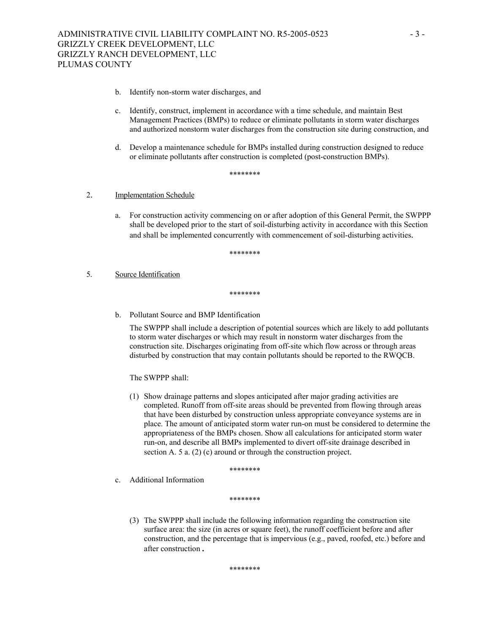- b. Identify non-storm water discharges, and
- c. Identify, construct, implement in accordance with a time schedule, and maintain Best Management Practices (BMPs) to reduce or eliminate pollutants in storm water discharges and authorized nonstorm water discharges from the construction site during construction, and
- d. Develop a maintenance schedule for BMPs installed during construction designed to reduce or eliminate pollutants after construction is completed (post-construction BMPs).

\*\*\*\*\*\*\*\*

## 2. Implementation Schedule

a. For construction activity commencing on or after adoption of this General Permit, the SWPPP shall be developed prior to the start of soil-disturbing activity in accordance with this Section and shall be implemented concurrently with commencement of soil-disturbing activities.

\*\*\*\*\*\*\*\*

#### 5. Source Identification

\*\*\*\*\*\*\*\*

b. Pollutant Source and BMP Identification

The SWPPP shall include a description of potential sources which are likely to add pollutants to storm water discharges or which may result in nonstorm water discharges from the construction site. Discharges originating from off-site which flow across or through areas disturbed by construction that may contain pollutants should be reported to the RWQCB.

The SWPPP shall:

(1) Show drainage patterns and slopes anticipated after major grading activities are completed. Runoff from off-site areas should be prevented from flowing through areas that have been disturbed by construction unless appropriate conveyance systems are in place. The amount of anticipated storm water run-on must be considered to determine the appropriateness of the BMPs chosen. Show all calculations for anticipated storm water run-on, and describe all BMPs implemented to divert off-site drainage described in section A. 5 a. (2) (c) around or through the construction project.

\*\*\*\*\*\*\*\*

c. Additional Information

\*\*\*\*\*\*\*\*

(3) The SWPPP shall include the following information regarding the construction site surface area: the size (in acres or square feet), the runoff coefficient before and after construction, and the percentage that is impervious (e.g., paved, roofed, etc.) before and after construction**.**

\*\*\*\*\*\*\*\*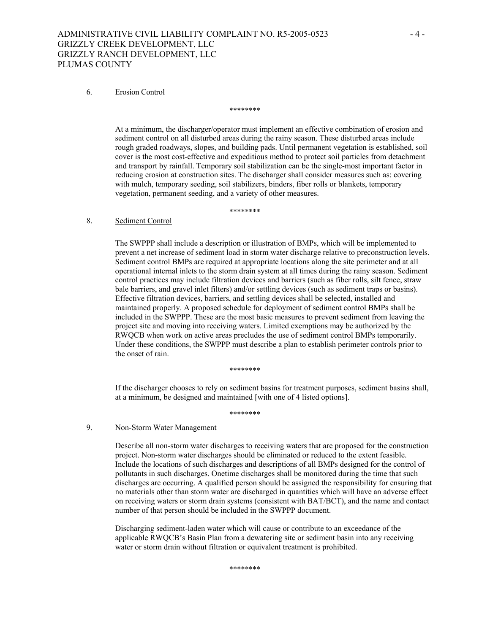## ADMINISTRATIVE CIVIL LIABILITY COMPLAINT NO. R5-2005-0523 - 4 -GRIZZLY CREEK DEVELOPMENT, LLC GRIZZLY RANCH DEVELOPMENT, LLC PLUMAS COUNTY

#### 6. Erosion Control

\*\*\*\*\*\*\*\*

At a minimum, the discharger/operator must implement an effective combination of erosion and sediment control on all disturbed areas during the rainy season. These disturbed areas include rough graded roadways, slopes, and building pads. Until permanent vegetation is established, soil cover is the most cost-effective and expeditious method to protect soil particles from detachment and transport by rainfall. Temporary soil stabilization can be the single-most important factor in reducing erosion at construction sites. The discharger shall consider measures such as: covering with mulch, temporary seeding, soil stabilizers, binders, fiber rolls or blankets, temporary vegetation, permanent seeding, and a variety of other measures.

\*\*\*\*\*\*\*\*

#### 8. Sediment Control

The SWPPP shall include a description or illustration of BMPs, which will be implemented to prevent a net increase of sediment load in storm water discharge relative to preconstruction levels. Sediment control BMPs are required at appropriate locations along the site perimeter and at all operational internal inlets to the storm drain system at all times during the rainy season. Sediment control practices may include filtration devices and barriers (such as fiber rolls, silt fence, straw bale barriers, and gravel inlet filters) and/or settling devices (such as sediment traps or basins). Effective filtration devices, barriers, and settling devices shall be selected, installed and maintained properly. A proposed schedule for deployment of sediment control BMPs shall be included in the SWPPP. These are the most basic measures to prevent sediment from leaving the project site and moving into receiving waters. Limited exemptions may be authorized by the RWQCB when work on active areas precludes the use of sediment control BMPs temporarily. Under these conditions, the SWPPP must describe a plan to establish perimeter controls prior to the onset of rain.

\*\*\*\*\*\*\*\*

If the discharger chooses to rely on sediment basins for treatment purposes, sediment basins shall, at a minimum, be designed and maintained [with one of 4 listed options].

\*\*\*\*\*\*\*\*

## 9. Non-Storm Water Management

Describe all non-storm water discharges to receiving waters that are proposed for the construction project. Non-storm water discharges should be eliminated or reduced to the extent feasible. Include the locations of such discharges and descriptions of all BMPs designed for the control of pollutants in such discharges. Onetime discharges shall be monitored during the time that such discharges are occurring. A qualified person should be assigned the responsibility for ensuring that no materials other than storm water are discharged in quantities which will have an adverse effect on receiving waters or storm drain systems (consistent with BAT/BCT), and the name and contact number of that person should be included in the SWPPP document.

Discharging sediment-laden water which will cause or contribute to an exceedance of the applicable RWQCB's Basin Plan from a dewatering site or sediment basin into any receiving water or storm drain without filtration or equivalent treatment is prohibited.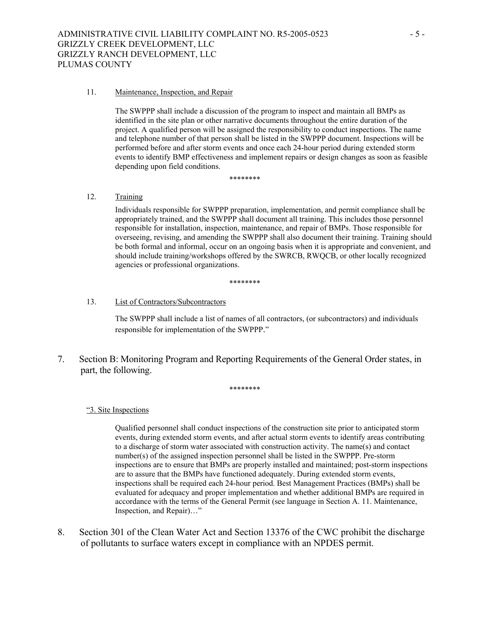#### 11. Maintenance, Inspection, and Repair

The SWPPP shall include a discussion of the program to inspect and maintain all BMPs as identified in the site plan or other narrative documents throughout the entire duration of the project. A qualified person will be assigned the responsibility to conduct inspections. The name and telephone number of that person shall be listed in the SWPPP document. Inspections will be performed before and after storm events and once each 24-hour period during extended storm events to identify BMP effectiveness and implement repairs or design changes as soon as feasible depending upon field conditions.

\*\*\*\*\*\*\*\*

### 12. Training

Individuals responsible for SWPPP preparation, implementation, and permit compliance shall be appropriately trained, and the SWPPP shall document all training. This includes those personnel responsible for installation, inspection, maintenance, and repair of BMPs. Those responsible for overseeing, revising, and amending the SWPPP shall also document their training. Training should be both formal and informal, occur on an ongoing basis when it is appropriate and convenient, and should include training/workshops offered by the SWRCB, RWQCB, or other locally recognized agencies or professional organizations.

\*\*\*\*\*\*\*\*

#### 13. List of Contractors/Subcontractors

The SWPPP shall include a list of names of all contractors, (or subcontractors) and individuals responsible for implementation of the SWPPP."

7. Section B: Monitoring Program and Reporting Requirements of the General Order states, in part, the following.

#### \*\*\*\*\*\*\*\*

### "3. Site Inspections

Qualified personnel shall conduct inspections of the construction site prior to anticipated storm events, during extended storm events, and after actual storm events to identify areas contributing to a discharge of storm water associated with construction activity. The name(s) and contact number(s) of the assigned inspection personnel shall be listed in the SWPPP. Pre-storm inspections are to ensure that BMPs are properly installed and maintained; post-storm inspections are to assure that the BMPs have functioned adequately. During extended storm events, inspections shall be required each 24-hour period. Best Management Practices (BMPs) shall be evaluated for adequacy and proper implementation and whether additional BMPs are required in accordance with the terms of the General Permit (see language in Section A. 11. Maintenance, Inspection, and Repair)…"

8. Section 301 of the Clean Water Act and Section 13376 of the CWC prohibit the discharge of pollutants to surface waters except in compliance with an NPDES permit.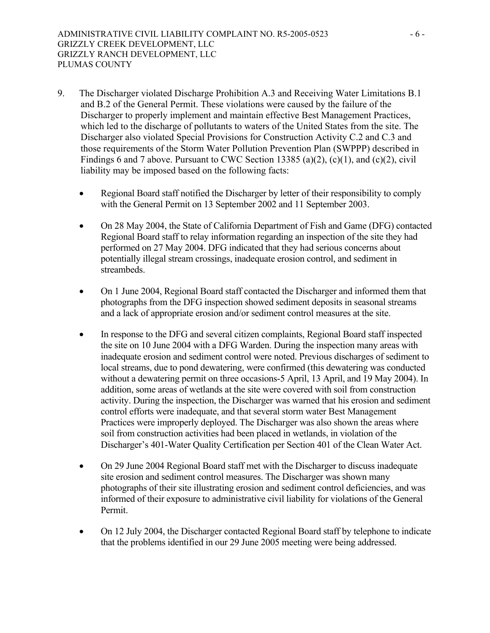- 9. The Discharger violated Discharge Prohibition A.3 and Receiving Water Limitations B.1 and B.2 of the General Permit. These violations were caused by the failure of the Discharger to properly implement and maintain effective Best Management Practices, which led to the discharge of pollutants to waters of the United States from the site. The Discharger also violated Special Provisions for Construction Activity C.2 and C.3 and those requirements of the Storm Water Pollution Prevention Plan (SWPPP) described in Findings 6 and 7 above. Pursuant to CWC Section 13385 (a)(2), (c)(1), and (c)(2), civil liability may be imposed based on the following facts:
	- Regional Board staff notified the Discharger by letter of their responsibility to comply with the General Permit on 13 September 2002 and 11 September 2003.
	- On 28 May 2004, the State of California Department of Fish and Game (DFG) contacted Regional Board staff to relay information regarding an inspection of the site they had performed on 27 May 2004. DFG indicated that they had serious concerns about potentially illegal stream crossings, inadequate erosion control, and sediment in streambeds.
	- On 1 June 2004, Regional Board staff contacted the Discharger and informed them that photographs from the DFG inspection showed sediment deposits in seasonal streams and a lack of appropriate erosion and/or sediment control measures at the site.
	- In response to the DFG and several citizen complaints, Regional Board staff inspected the site on 10 June 2004 with a DFG Warden. During the inspection many areas with inadequate erosion and sediment control were noted. Previous discharges of sediment to local streams, due to pond dewatering, were confirmed (this dewatering was conducted without a dewatering permit on three occasions-5 April, 13 April, and 19 May 2004). In addition, some areas of wetlands at the site were covered with soil from construction activity. During the inspection, the Discharger was warned that his erosion and sediment control efforts were inadequate, and that several storm water Best Management Practices were improperly deployed. The Discharger was also shown the areas where soil from construction activities had been placed in wetlands, in violation of the Discharger's 401-Water Quality Certification per Section 401 of the Clean Water Act.
	- On 29 June 2004 Regional Board staff met with the Discharger to discuss inadequate site erosion and sediment control measures. The Discharger was shown many photographs of their site illustrating erosion and sediment control deficiencies, and was informed of their exposure to administrative civil liability for violations of the General Permit.
	- On 12 July 2004, the Discharger contacted Regional Board staff by telephone to indicate that the problems identified in our 29 June 2005 meeting were being addressed.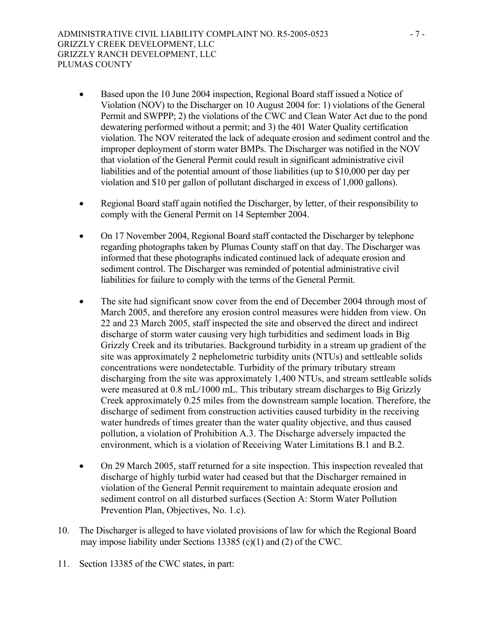- Based upon the 10 June 2004 inspection, Regional Board staff issued a Notice of Violation (NOV) to the Discharger on 10 August 2004 for: 1) violations of the General Permit and SWPPP; 2) the violations of the CWC and Clean Water Act due to the pond dewatering performed without a permit; and 3) the 401 Water Quality certification violation. The NOV reiterated the lack of adequate erosion and sediment control and the improper deployment of storm water BMPs. The Discharger was notified in the NOV that violation of the General Permit could result in significant administrative civil liabilities and of the potential amount of those liabilities (up to \$10,000 per day per violation and \$10 per gallon of pollutant discharged in excess of 1,000 gallons).
- Regional Board staff again notified the Discharger, by letter, of their responsibility to comply with the General Permit on 14 September 2004.
- On 17 November 2004, Regional Board staff contacted the Discharger by telephone regarding photographs taken by Plumas County staff on that day. The Discharger was informed that these photographs indicated continued lack of adequate erosion and sediment control. The Discharger was reminded of potential administrative civil liabilities for failure to comply with the terms of the General Permit.
- The site had significant snow cover from the end of December 2004 through most of March 2005, and therefore any erosion control measures were hidden from view. On 22 and 23 March 2005, staff inspected the site and observed the direct and indirect discharge of storm water causing very high turbidities and sediment loads in Big Grizzly Creek and its tributaries. Background turbidity in a stream up gradient of the site was approximately 2 nephelometric turbidity units (NTUs) and settleable solids concentrations were nondetectable. Turbidity of the primary tributary stream discharging from the site was approximately 1,400 NTUs, and stream settleable solids were measured at 0.8 mL/1000 mL. This tributary stream discharges to Big Grizzly Creek approximately 0.25 miles from the downstream sample location. Therefore, the discharge of sediment from construction activities caused turbidity in the receiving water hundreds of times greater than the water quality objective, and thus caused pollution, a violation of Prohibition A.3. The Discharge adversely impacted the environment, which is a violation of Receiving Water Limitations B.1 and B.2.
- On 29 March 2005, staff returned for a site inspection. This inspection revealed that discharge of highly turbid water had ceased but that the Discharger remained in violation of the General Permit requirement to maintain adequate erosion and sediment control on all disturbed surfaces (Section A: Storm Water Pollution Prevention Plan, Objectives, No. 1.c).
- 10. The Discharger is alleged to have violated provisions of law for which the Regional Board may impose liability under Sections 13385 (c)(1) and (2) of the CWC.
- 11. Section 13385 of the CWC states, in part: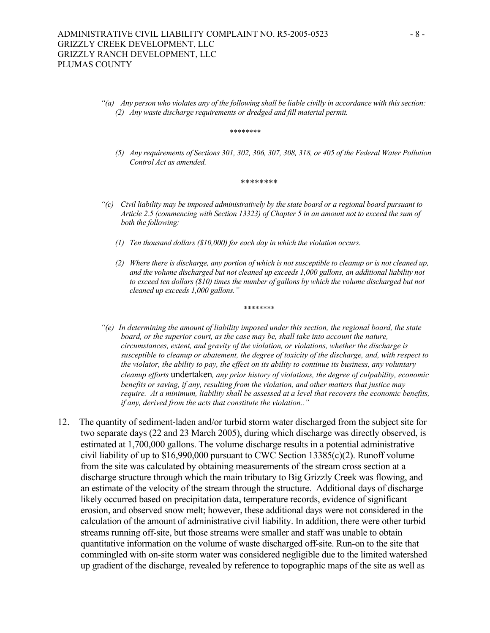*"(a) Any person who violates any of the following shall be liable civilly in accordance with this section: (2) Any waste discharge requirements or dredged and fill material permit.*

*\*\*\*\*\*\*\*\**

*(5) Any requirements of Sections 301, 302, 306, 307, 308, 318, or 405 of the Federal Water Pollution Control Act as amended.*

\*\*\*\*\*\*\*\*

- *"(c) Civil liability may be imposed administratively by the state board or a regional board pursuant to Article 2.5 (commencing with Section 13323) of Chapter 5 in an amount not to exceed the sum of both the following:*
	- *(1) Ten thousand dollars (\$10,000) for each day in which the violation occurs.*
	- *(2) Where there is discharge, any portion of which is not susceptible to cleanup or is not cleaned up, and the volume discharged but not cleaned up exceeds 1,000 gallons, an additional liability not to exceed ten dollars (\$10) times the number of gallons by which the volume discharged but not cleaned up exceeds 1,000 gallons."*

\*\*\*\*\*\*\*\*

- *"(e) In determining the amount of liability imposed under this section, the regional board, the state board, or the superior court, as the case may be, shall take into account the nature, circumstances, extent, and gravity of the violation, or violations, whether the discharge is susceptible to cleanup or abatement, the degree of toxicity of the discharge, and, with respect to the violator, the ability to pay, the effect on its ability to continue its business, any voluntary cleanup efforts* undertaken*, any prior history of violations, the degree of culpability, economic benefits or saving, if any, resulting from the violation, and other matters that justice may require. At a minimum, liability shall be assessed at a level that recovers the economic benefits, if any, derived from the acts that constitute the violation.."*
- 12. The quantity of sediment-laden and/or turbid storm water discharged from the subject site for two separate days (22 and 23 March 2005), during which discharge was directly observed, is estimated at 1,700,000 gallons. The volume discharge results in a potential administrative civil liability of up to \$16,990,000 pursuant to CWC Section 13385(c)(2). Runoff volume from the site was calculated by obtaining measurements of the stream cross section at a discharge structure through which the main tributary to Big Grizzly Creek was flowing, and an estimate of the velocity of the stream through the structure. Additional days of discharge likely occurred based on precipitation data, temperature records, evidence of significant erosion, and observed snow melt; however, these additional days were not considered in the calculation of the amount of administrative civil liability. In addition, there were other turbid streams running off-site, but those streams were smaller and staff was unable to obtain quantitative information on the volume of waste discharged off-site. Run-on to the site that commingled with on-site storm water was considered negligible due to the limited watershed up gradient of the discharge, revealed by reference to topographic maps of the site as well as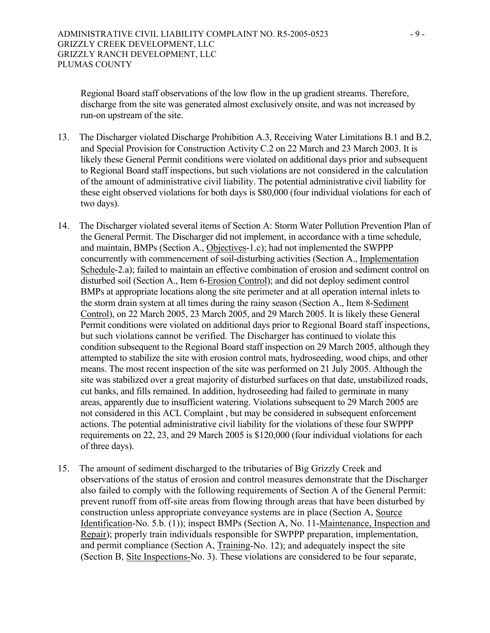Regional Board staff observations of the low flow in the up gradient streams. Therefore, discharge from the site was generated almost exclusively onsite, and was not increased by run-on upstream of the site.

- 13. The Discharger violated Discharge Prohibition A.3, Receiving Water Limitations B.1 and B.2, and Special Provision for Construction Activity C.2 on 22 March and 23 March 2003. It is likely these General Permit conditions were violated on additional days prior and subsequent to Regional Board staff inspections, but such violations are not considered in the calculation of the amount of administrative civil liability. The potential administrative civil liability for these eight observed violations for both days is \$80,000 (four individual violations for each of two days).
- 14. The Discharger violated several items of Section A: Storm Water Pollution Prevention Plan of the General Permit. The Discharger did not implement, in accordance with a time schedule, and maintain, BMPs (Section A., Objectives-1.c); had not implemented the SWPPP concurrently with commencement of soil-disturbing activities (Section A., Implementation Schedule-2.a); failed to maintain an effective combination of erosion and sediment control on disturbed soil (Section A., Item 6-Erosion Control); and did not deploy sediment control BMPs at appropriate locations along the site perimeter and at all operation internal inlets to the storm drain system at all times during the rainy season (Section A., Item 8-Sediment Control), on 22 March 2005, 23 March 2005, and 29 March 2005. It is likely these General Permit conditions were violated on additional days prior to Regional Board staff inspections, but such violations cannot be verified. The Discharger has continued to violate this condition subsequent to the Regional Board staff inspection on 29 March 2005, although they attempted to stabilize the site with erosion control mats, hydroseeding, wood chips, and other means. The most recent inspection of the site was performed on 21 July 2005. Although the site was stabilized over a great majority of disturbed surfaces on that date, unstabilized roads, cut banks, and fills remained. In addition, hydroseeding had failed to germinate in many areas, apparently due to insufficient watering. Violations subsequent to 29 March 2005 are not considered in this ACL Complaint , but may be considered in subsequent enforcement actions. The potential administrative civil liability for the violations of these four SWPPP requirements on 22, 23, and 29 March 2005 is \$120,000 (four individual violations for each of three days).
- 15. The amount of sediment discharged to the tributaries of Big Grizzly Creek and observations of the status of erosion and control measures demonstrate that the Discharger also failed to comply with the following requirements of Section A of the General Permit: prevent runoff from off-site areas from flowing through areas that have been disturbed by construction unless appropriate conveyance systems are in place (Section A, Source Identification-No. 5.b. (1)); inspect BMPs (Section A, No. 11-Maintenance, Inspection and Repair); properly train individuals responsible for SWPPP preparation, implementation, and permit compliance (Section A, Training-No. 12); and adequately inspect the site (Section B, Site Inspections-No. 3). These violations are considered to be four separate,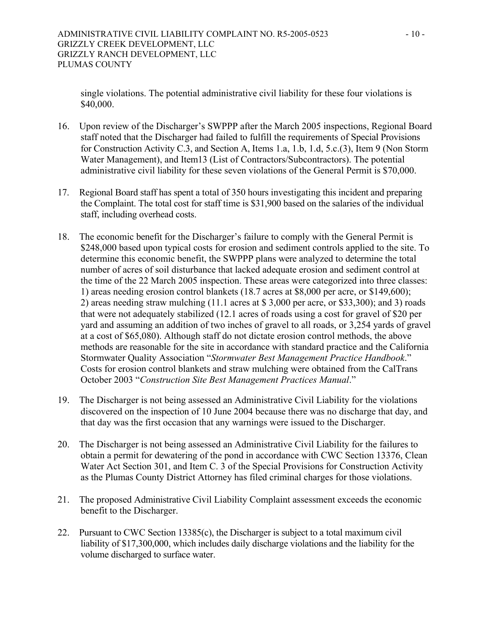single violations. The potential administrative civil liability for these four violations is \$40,000.

- 16. Upon review of the Discharger's SWPPP after the March 2005 inspections, Regional Board staff noted that the Discharger had failed to fulfill the requirements of Special Provisions for Construction Activity C.3, and Section A, Items 1.a, 1.b, 1.d, 5.c.(3), Item 9 (Non Storm Water Management), and Item13 (List of Contractors/Subcontractors). The potential administrative civil liability for these seven violations of the General Permit is \$70,000.
- 17. Regional Board staff has spent a total of 350 hours investigating this incident and preparing the Complaint. The total cost for staff time is \$31,900 based on the salaries of the individual staff, including overhead costs.
- 18. The economic benefit for the Discharger's failure to comply with the General Permit is \$248,000 based upon typical costs for erosion and sediment controls applied to the site. To determine this economic benefit, the SWPPP plans were analyzed to determine the total number of acres of soil disturbance that lacked adequate erosion and sediment control at the time of the 22 March 2005 inspection. These areas were categorized into three classes: 1) areas needing erosion control blankets (18.7 acres at \$8,000 per acre, or \$149,600); 2) areas needing straw mulching (11.1 acres at \$ 3,000 per acre, or \$33,300); and 3) roads that were not adequately stabilized (12.1 acres of roads using a cost for gravel of \$20 per yard and assuming an addition of two inches of gravel to all roads, or 3,254 yards of gravel at a cost of \$65,080). Although staff do not dictate erosion control methods, the above methods are reasonable for the site in accordance with standard practice and the California Stormwater Quality Association "*Stormwater Best Management Practice Handbook*." Costs for erosion control blankets and straw mulching were obtained from the CalTrans October 2003 "*Construction Site Best Management Practices Manual*."
- 19. The Discharger is not being assessed an Administrative Civil Liability for the violations discovered on the inspection of 10 June 2004 because there was no discharge that day, and that day was the first occasion that any warnings were issued to the Discharger.
- 20. The Discharger is not being assessed an Administrative Civil Liability for the failures to obtain a permit for dewatering of the pond in accordance with CWC Section 13376, Clean Water Act Section 301, and Item C. 3 of the Special Provisions for Construction Activity as the Plumas County District Attorney has filed criminal charges for those violations.
- 21. The proposed Administrative Civil Liability Complaint assessment exceeds the economic benefit to the Discharger.
- 22. Pursuant to CWC Section 13385(c), the Discharger is subject to a total maximum civil liability of \$17,300,000, which includes daily discharge violations and the liability for the volume discharged to surface water.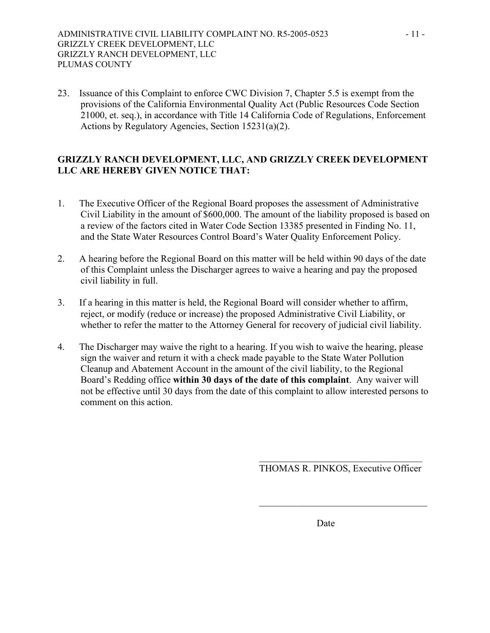23. Issuance of this Complaint to enforce CWC Division 7, Chapter 5.5 is exempt from the provisions of the California Environmental Quality Act (Public Resources Code Section 21000, et. seq.), in accordance with Title 14 California Code of Regulations, Enforcement Actions by Regulatory Agencies, Section 15231(a)(2).

# **GRIZZLY RANCH DEVELOPMENT, LLC, AND GRIZZLY CREEK DEVELOPMENT LLC ARE HEREBY GIVEN NOTICE THAT:**

- 1. The Executive Officer of the Regional Board proposes the assessment of Administrative Civil Liability in the amount of \$600,000. The amount of the liability proposed is based on a review of the factors cited in Water Code Section 13385 presented in Finding No. 11, and the State Water Resources Control Board's Water Quality Enforcement Policy.
- 2. A hearing before the Regional Board on this matter will be held within 90 days of the date of this Complaint unless the Discharger agrees to waive a hearing and pay the proposed civil liability in full.
- 3. If a hearing in this matter is held, the Regional Board will consider whether to affirm, reject, or modify (reduce or increase) the proposed Administrative Civil Liability, or whether to refer the matter to the Attorney General for recovery of judicial civil liability.
- 4. The Discharger may waive the right to a hearing. If you wish to waive the hearing, please sign the waiver and return it with a check made payable to the State Water Pollution Cleanup and Abatement Account in the amount of the civil liability, to the Regional Board's Redding office **within 30 days of the date of this complaint**. Any waiver will not be effective until 30 days from the date of this complaint to allow interested persons to comment on this action.

 $\mathcal{L}_\text{max}$  and  $\mathcal{L}_\text{max}$  and  $\mathcal{L}_\text{max}$  and  $\mathcal{L}_\text{max}$  and  $\mathcal{L}_\text{max}$  and  $\mathcal{L}_\text{max}$ 

 $\overline{\phantom{a}}$  , and the contract of the contract of the contract of the contract of the contract of the contract of the contract of the contract of the contract of the contract of the contract of the contract of the contrac

THOMAS R. PINKOS, Executive Officer

**Date**